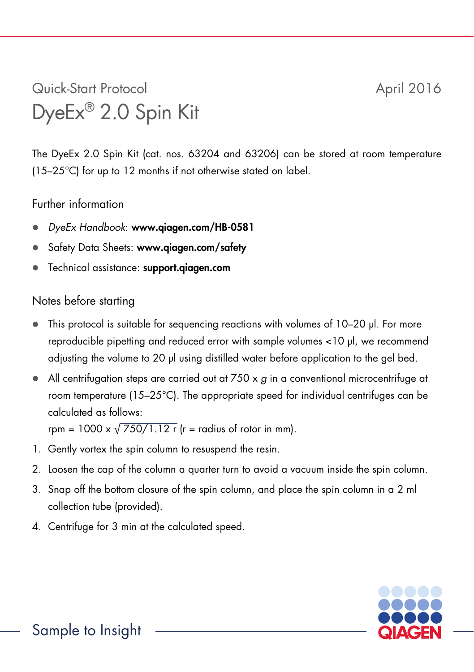## Quick-Start Protocol April 2016 DyeEx® 2.0 Spin Kit

The DyeEx 2.0 Spin Kit (cat. nos. 63204 and 63206) can be stored at room temperature (15–25°C) for up to 12 months if not otherwise stated on label.

## Further information

- *DyeEx Handbook*: www.qiagen.com/HB-0581
- Safety Data Sheets: www.giagen.com/safety
- Technical assistance: support.qiagen.com

## Notes before starting

- This protocol is suitable for sequencing reactions with volumes of 10–20 µl. For more reproducible pipetting and reduced error with sample volumes <10 µl, we recommend adjusting the volume to 20 µl using distilled water before application to the gel bed.
- All centrifugation steps are carried out at 750 x *g* in a conventional microcentrifuge at room temperature (15–25°C). The appropriate speed for individual centrifuges can be calculated as follows:

rpm = 1000 x  $\sqrt{750/1.12}$  r  $(r =$  radius of rotor in mm).

- 1. Gently vortex the spin column to resuspend the resin.
- 2. Loosen the cap of the column a quarter turn to avoid a vacuum inside the spin column.
- 3. Snap off the bottom closure of the spin column, and place the spin column in a 2 ml collection tube (provided).
- 4. Centrifuge for 3 min at the calculated speed.